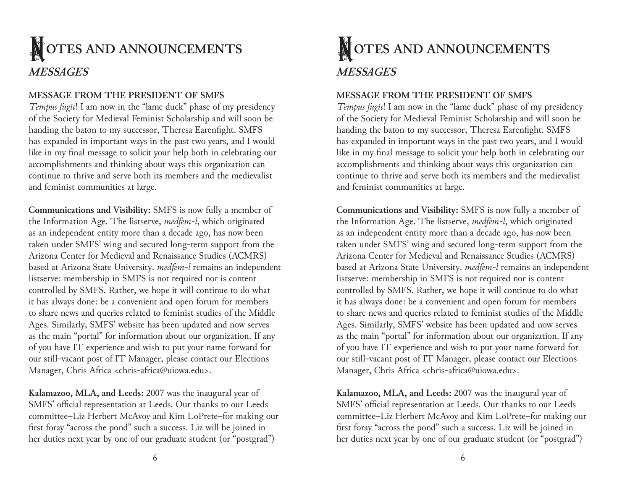# **NOTES AND ANNOUNCEMENTS** *MESSAGES*

## **MESSAGE FROM THE PRESIDENT OF SMFS**

*Tempus fugit*! I am now in the "lame duck" phase of my presidency of the Society for Medieval Feminist Scholarship and will soon be handing the baton to my successor, Theresa Earenfight. SMFS has expanded in important ways in the past two years, and I would like in my final message to solicit your help both in celebrating our accomplishments and thinking about ways this organization can continue to thrive and serve both its members and the medievalist and feminist communities at large.

**Communications and Visibility:** SMFS is now fully a member of the Information Age. The listserve, *medfem-l*, which originated as an independent entity more than a decade ago, has now been taken under SMFS' wing and secured long-term support from the Arizona Center for Medieval and Renaissance Studies (ACMRS) based at Arizona State University. *medfem-l* remains an independent listserve: membership in SMFS is not required nor is content controlled by SMFS. Rather, we hope it will continue to do what it has always done: be a convenient and open forum for members to share news and queries related to feminist studies of the Middle Ages. Similarly, SMFS' website has been updated and now serves as the main "portal" for information about our organization. If any of you have IT experience and wish to put your name forward for our still-vacant post of IT Manager, please contact our Elections Manager, Chris Africa <chris-africa@uiowa.edu>.

**Kalamazoo, MLA, and Leeds:** 2007 was the inaugural year of SMFS' official representation at Leeds. Our thanks to our Leeds committee–Liz Herbert McAvoy and Kim LoPrete–for making our first foray "across the pond" such a success. Liz will be joined in her duties next year by one of our graduate student (or "postgrad")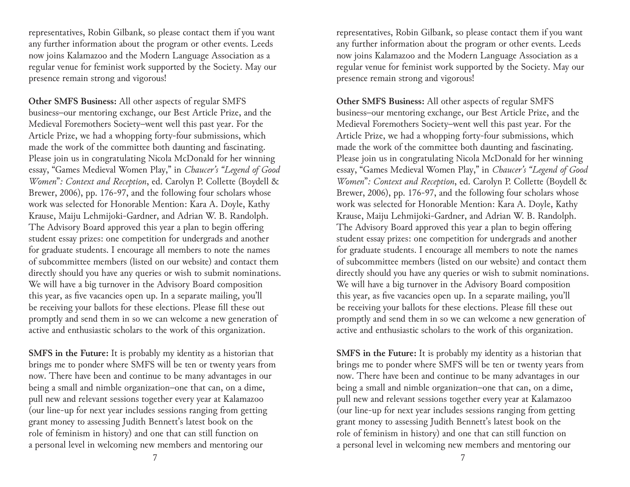representatives, Robin Gilbank, so please contact them if you want any further information about the program or other events. Leeds now joins Kalamazoo and the Modern Language Association as a regular venue for feminist work supported by the Society. May our presence remain strong and vigorous!

**Other SMFS Business:** All other aspects of regular SMFS business–our mentoring exchange, our Best Article Prize, and the Medieval Foremothers Society–went well this past year. For the Article Prize, we had a whopping forty-four submissions, which made the work of the committee both daunting and fascinating. Please join us in congratulating Nicola McDonald for her winning essay, "Games Medieval Women Play," in *Chaucer's "Legend of Good Women*"*: Context and Reception*, ed. Carolyn P. Collette (Boydell & Brewer, 2006), pp. 176-97, and the following four scholars whose work was selected for Honorable Mention: Kara A. Doyle, Kathy Krause, Maiju Lehmijoki-Gardner, and Adrian W. B. Randolph. The Advisory Board approved this year a plan to begin offering student essay prizes: one competition for undergrads and another for graduate students. I encourage all members to note the names of subcommittee members (listed on our website) and contact them directly should you have any queries or wish to submit nominations. We will have a big turnover in the Advisory Board composition this year, as five vacancies open up. In a separate mailing, you'll be receiving your ballots for these elections. Please fill these out promptly and send them in so we can welcome a new generation of active and enthusiastic scholars to the work of this organization.

**SMFS in the Future:** It is probably my identity as a historian that brings me to ponder where SMFS will be ten or twenty years from now. There have been and continue to be many advantages in our being a small and nimble organization–one that can, on a dime, pull new and relevant sessions together every year at Kalamazoo (our line-up for next year includes sessions ranging from getting grant money to assessing Judith Bennett's latest book on the role of feminism in history) and one that can still function on a personal level in welcoming new members and mentoring our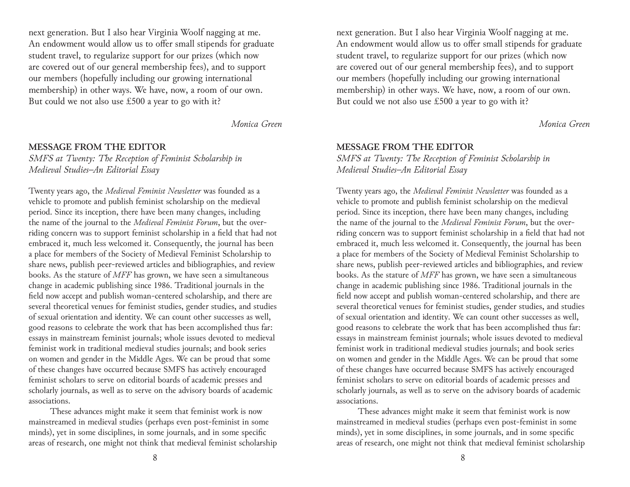next generation. But I also hear Virginia Woolf nagging at me. An endowment would allow us to offer small stipends for graduate student travel, to regularize support for our prizes (which now are covered out of our general membership fees), and to support our members (hopefully including our growing international membership) in other ways. We have, now, a room of our own. But could we not also use £500 a year to go with it?

*Monica Green*

#### **MESSAGE FROM THE EDITOR**

*SMFS at Twenty: The Reception of Feminist Scholarship in Medieval Studies–An Editorial Essay*

Twenty years ago, the *Medieval Feminist Newsletter* was founded as a vehicle to promote and publish feminist scholarship on the medieval period. Since its inception, there have been many changes, including the name of the journal to the *Medieval Feminist Forum*, but the overriding concern was to support feminist scholarship in a field that had not embraced it, much less welcomed it. Consequently, the journal has been a place for members of the Society of Medieval Feminist Scholarship to share news, publish peer-reviewed articles and bibliographies, and review books. As the stature of *MFF* has grown, we have seen a simultaneous change in academic publishing since 1986. Traditional journals in the field now accept and publish woman-centered scholarship, and there are several theoretical venues for feminist studies, gender studies, and studies of sexual orientation and identity. We can count other successes as well, good reasons to celebrate the work that has been accomplished thus far: essays in mainstream feminist journals; whole issues devoted to medieval feminist work in traditional medieval studies journals; and book series on women and gender in the Middle Ages. We can be proud that some of these changes have occurred because SMFS has actively encouraged feminist scholars to serve on editorial boards of academic presses and scholarly journals, as well as to serve on the advisory boards of academic associations.

These advances might make it seem that feminist work is now mainstreamed in medieval studies (perhaps even post-feminist in some minds), yet in some disciplines, in some journals, and in some specific areas of research, one might not think that medieval feminist scholarship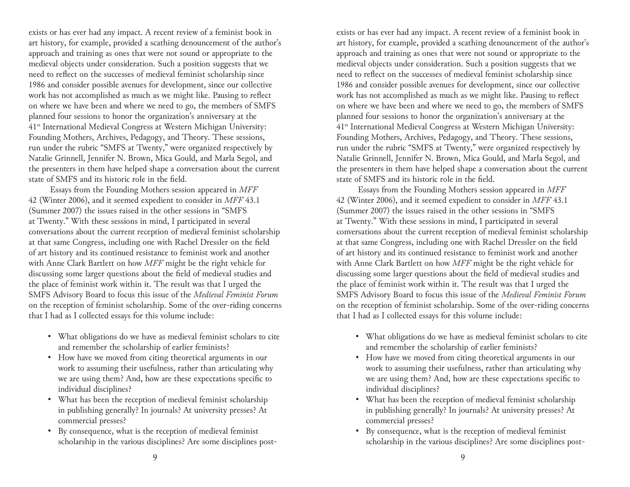exists or has ever had any impact. A recent review of a feminist book in art history, for example, provided a scathing denouncement of the author's approach and training as ones that were not sound or appropriate to the medieval objects under consideration. Such a position suggests that we need to reflect on the successes of medieval feminist scholarship since 1986 and consider possible avenues for development, since our collective work has not accomplished as much as we might like. Pausing to reflect on where we have been and where we need to go, the members of SMFS planned four sessions to honor the organization's anniversary at the 41st International Medieval Congress at Western Michigan University: Founding Mothers, Archives, Pedagogy, and Theory. These sessions, run under the rubric "SMFS at Twenty," were organized respectively by Natalie Grinnell, Jennifer N. Brown, Mica Gould, and Marla Segol, and the presenters in them have helped shape a conversation about the current state of SMFS and its historic role in the field.

Essays from the Founding Mothers session appeared in *MFF* 42 (Winter 2006), and it seemed expedient to consider in *MFF* 43.1 (Summer 2007) the issues raised in the other sessions in "SMFS at Twenty." With these sessions in mind, I participated in several conversations about the current reception of medieval feminist scholarship at that same Congress, including one with Rachel Dressler on the field of art history and its continued resistance to feminist work and another with Anne Clark Bartlett on how *MFF* might be the right vehicle for discussing some larger questions about the field of medieval studies and the place of feminist work within it. The result was that I urged the SMFS Advisory Board to focus this issue of the *Medieval Feminist Forum* on the reception of feminist scholarship. Some of the over-riding concerns that I had as I collected essays for this volume include:

- What obligations do we have as medieval feminist scholars to cite and remember the scholarship of earlier feminists?
- How have we moved from citing theoretical arguments in our work to assuming their usefulness, rather than articulating why we are using them? And, how are these expectations specific to individual disciplines?
- What has been the reception of medieval feminist scholarship in publishing generally? In journals? At university presses? At commercial presses?
- By consequence, what is the reception of medieval feminist scholarship in the various disciplines? Are some disciplines post-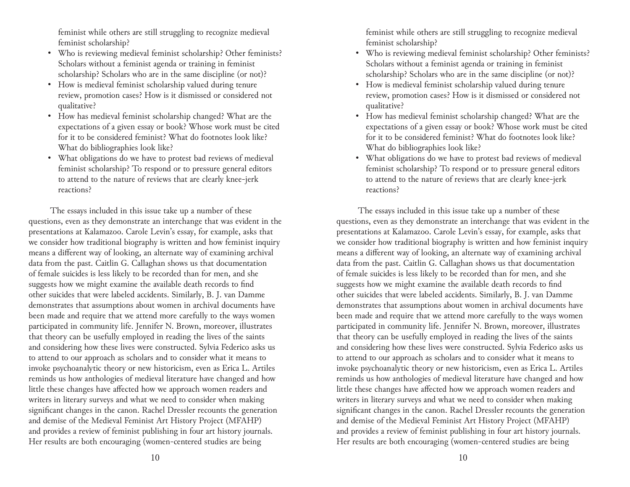feminist while others are still struggling to recognize medieval feminist scholarship?

- Who is reviewing medieval feminist scholarship? Other feminists? Scholars without a feminist agenda or training in feminist scholarship? Scholars who are in the same discipline (or not)?
- How is medieval feminist scholarship valued during tenure review, promotion cases? How is it dismissed or considered not qualitative?
- How has medieval feminist scholarship changed? What are the expectations of a given essay or book? Whose work must be cited for it to be considered feminist? What do footnotes look like? What do bibliographies look like?
- What obligations do we have to protest bad reviews of medieval feminist scholarship? To respond or to pressure general editors to attend to the nature of reviews that are clearly knee-jerk reactions?

The essays included in this issue take up a number of these questions, even as they demonstrate an interchange that was evident in the presentations at Kalamazoo. Carole Levin's essay, for example, asks that we consider how traditional biography is written and how feminist inquiry means a different way of looking, an alternate way of examining archival data from the past. Caitlin G. Callaghan shows us that documentation of female suicides is less likely to be recorded than for men, and she suggests how we might examine the available death records to find other suicides that were labeled accidents. Similarly, B. J. van Damme demonstrates that assumptions about women in archival documents have been made and require that we attend more carefully to the ways women participated in community life. Jennifer N. Brown, moreover, illustrates that theory can be usefully employed in reading the lives of the saints and considering how these lives were constructed. Sylvia Federico asks us to attend to our approach as scholars and to consider what it means to invoke psychoanalytic theory or new historicism, even as Erica L. Artiles reminds us how anthologies of medieval literature have changed and how little these changes have affected how we approach women readers and writers in literary surveys and what we need to consider when making significant changes in the canon. Rachel Dressler recounts the generation and demise of the Medieval Feminist Art History Project (MFAHP) and provides a review of feminist publishing in four art history journals. Her results are both encouraging (women-centered studies are being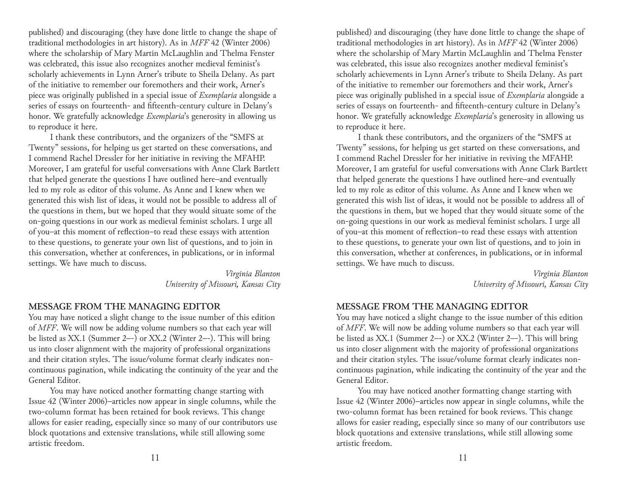published) and discouraging (they have done little to change the shape of traditional methodologies in art history). As in *MFF* 42 (Winter 2006) where the scholarship of Mary Martin McLaughlin and Thelma Fenster was celebrated, this issue also recognizes another medieval feminist's scholarly achievements in Lynn Arner's tribute to Sheila Delany. As part of the initiative to remember our foremothers and their work, Arner's piece was originally published in a special issue of *Exemplaria* alongside a series of essays on fourteenth- and fifteenth-century culture in Delany's honor. We gratefully acknowledge *Exemplaria*'s generosity in allowing us to reproduce it here.

I thank these contributors, and the organizers of the "SMFS at Twenty" sessions, for helping us get started on these conversations, and I commend Rachel Dressler for her initiative in reviving the MFAHP. Moreover, I am grateful for useful conversations with Anne Clark Bartlett that helped generate the questions I have outlined here–and eventually led to my role as editor of this volume. As Anne and I knew when we generated this wish list of ideas, it would not be possible to address all of the questions in them, but we hoped that they would situate some of the on-going questions in our work as medieval feminist scholars. I urge all of you–at this moment of reflection–to read these essays with attention to these questions, to generate your own list of questions, and to join in this conversation, whether at conferences, in publications, or in informal settings. We have much to discuss.

> *Virginia Blanton University of Missouri, Kansas City*

#### **MESSAGE FROM THE MANAGING EDITOR**

You may have noticed a slight change to the issue number of this edition of *MFF*. We will now be adding volume numbers so that each year will be listed as XX.1 (Summer 2–-) or XX.2 (Winter 2–-). This will bring us into closer alignment with the majority of professional organizations and their citation styles. The issue/volume format clearly indicates noncontinuous pagination, while indicating the continuity of the year and the General Editor.

You may have noticed another formatting change starting with Issue 42 (Winter 2006)–articles now appear in single columns, while the two-column format has been retained for book reviews. This change allows for easier reading, especially since so many of our contributors use block quotations and extensive translations, while still allowing some artistic freedom.